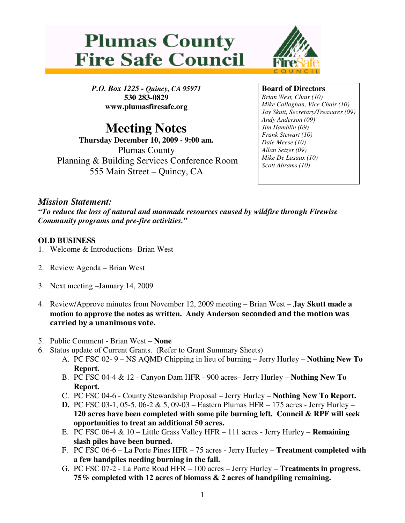



*P.O. Box 1225 - Quincy, CA 95971* **530 283-0829 www.plumasfiresafe.org**

# **Meeting Notes**

**Thursday December 10, 2009 - 9:00 am.** Plumas County Planning & Building Services Conference Room 555 Main Street – Quincy, CA

## **Board of Directors**

*Brian West, Chair (10) Mike Callaghan, Vice Chair (10) Jay Skutt, Secretary/Treasurer (09) Andy Anderson (09) Jim Hamblin (09) Frank Stewart (10) Dale Meese (10) Allan Setzer (09) Mike De Lasaux (10) Scott Abrams (10)*

## *Mission Statement:*

*"To reduce the loss of natural and manmade resources caused by wildfire through Firewise Community programs and pre-fire activities."*

## **OLD BUSINESS**

- 1. Welcome & Introductions- Brian West
- 2. Review Agenda Brian West
- 3. Next meeting –January 14, 2009
- 4. Review/Approve minutes from November 12, 2009 meeting Brian West **Jay Skutt made a** motion to approve the notes as written. Andy Anderson seconded and the motion was carried by a unanimous vote.
- 5. Public Comment Brian West **None**
- 6. Status update of Current Grants. (Refer to Grant Summary Sheets)
	- A. PC FSC 02- 9 NS AQMD Chipping in lieu of burning Jerry Hurley **Nothing New To Report.**
	- B. PC FSC 04-4 & 12 Canyon Dam HFR 900 acres– Jerry Hurley **Nothing New To Report.**
	- C. PC FSC 04-6 County Stewardship Proposal Jerry Hurley **Nothing New To Report.**
	- **D.** PC FSC 03-1, 05-5, 06-2 & 5, 09-03 Eastern Plumas HFR 175 acres Jerry Hurley **120 acres have been completed with some pile burning left. Council & RPF will seek opportunities to treat an additional 50 acres.**
	- E. PC FSC 06-4 & 10 Little Grass Valley HFR 111 acres Jerry Hurley **Remaining slash piles have been burned.**
	- F. PC FSC 06-6 La Porte Pines HFR 75 acres Jerry Hurley **Treatment completed with a few handpiles needing burning in the fall.**
	- G. PC FSC 07-2 La Porte Road HFR 100 acres Jerry Hurley **Treatments in progress. 75% completed with 12 acres of biomass & 2 acres of handpiling remaining.**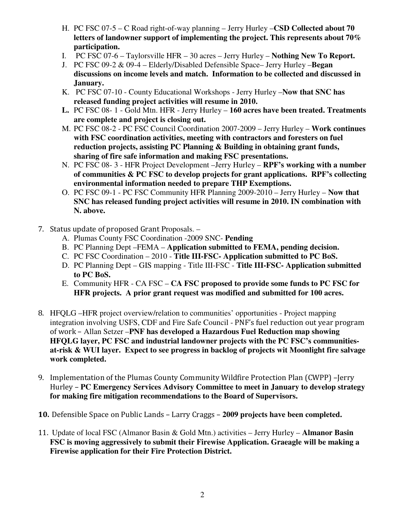- H. PC FSC 07-5 C Road right-of-way planning Jerry Hurley –**CSD Collected about 70 letters of landowner support of implementing the project. This represents about 70% participation.**
- I. PC FSC 07-6 Taylorsville HFR 30 acres Jerry Hurley **Nothing New To Report.**
- J. PC FSC 09-2 & 09-4 Elderly/Disabled Defensible Space– Jerry Hurley –**Began discussions on income levels and match. Information to be collected and discussed in January.**
- K. PC FSC 07-10 County Educational Workshops Jerry Hurley –**Now that SNC has released funding project activities will resume in 2010.**
- **L.** PC FSC 08- 1 Gold Mtn. HFR Jerry Hurley **160 acres have been treated. Treatments are complete and project is closing out.**
- M. PC FSC 08-2 PC FSC Council Coordination 2007-2009 Jerry Hurley **Work continues with FSC coordination activities, meeting with contractors and foresters on fuel reduction projects, assisting PC Planning & Building in obtaining grant funds, sharing of fire safe information and making FSC presentations.**
- N. PC FSC 08- 3 HFR Project Development –Jerry Hurley **RPF's working with a number of communities & PC FSC to develop projects for grant applications. RPF's collecting environmental information needed to prepare THP Exemptions.**
- O. PC FSC 09-1 PC FSC Community HFR Planning 2009-2010 Jerry Hurley **Now that SNC has released funding project activities will resume in 2010. IN combination with N. above.**
- 7. Status update of proposed Grant Proposals. -
	- A. Plumas County FSC Coordination -2009 SNC- **Pending**
	- B. PC Planning Dept –FEMA **Application submitted to FEMA, pending decision.**
	- C. PC FSC Coordination 2010 **Title III-FSC- Application submitted to PC BoS.**
	- D. PC Planning Dept GIS mapping Title III-FSC **Title III-FSC- Application submitted to PC BoS.**
	- E. Community HFR CA FSC **CA FSC proposed to provide some funds to PC FSC for HFR projects. A prior grant request was modified and submitted for 100 acres.**
- HFQLG –HFR project overview/relation to communities' opportunities Project mapping integration involving USFS, CDF and Fire Safe Council -   
 Allan Setzer –**PNF has developed a Hazardous Fuel Reduction map showing HFQLG layer, PC FSC and industrial landowner projects with the PC FSC's communitiesat-risk & WUI layer. Expect to see progress in backlog of projects wit Moonlight fire salvage work completed.**
- 9. Implementation of the Plumas County Community Wildfire Protection Plan (CWPP) -Jerry ' **PC Emergency Services Advisory Committee to meet in January to develop strategy for making fire mitigation recommendations to the Board of Supervisors.**
- 10. Defensible Space on Public Lands Larry Craggs 2009 projects have been completed.
- ++Update of local FSC (Almanor Basin & Gold Mtn.) activities Jerry Hurley **Almanor Basin FSC is moving aggressively to submit their Firewise Application. Graeagle will be making a Firewise application for their Fire Protection District.**